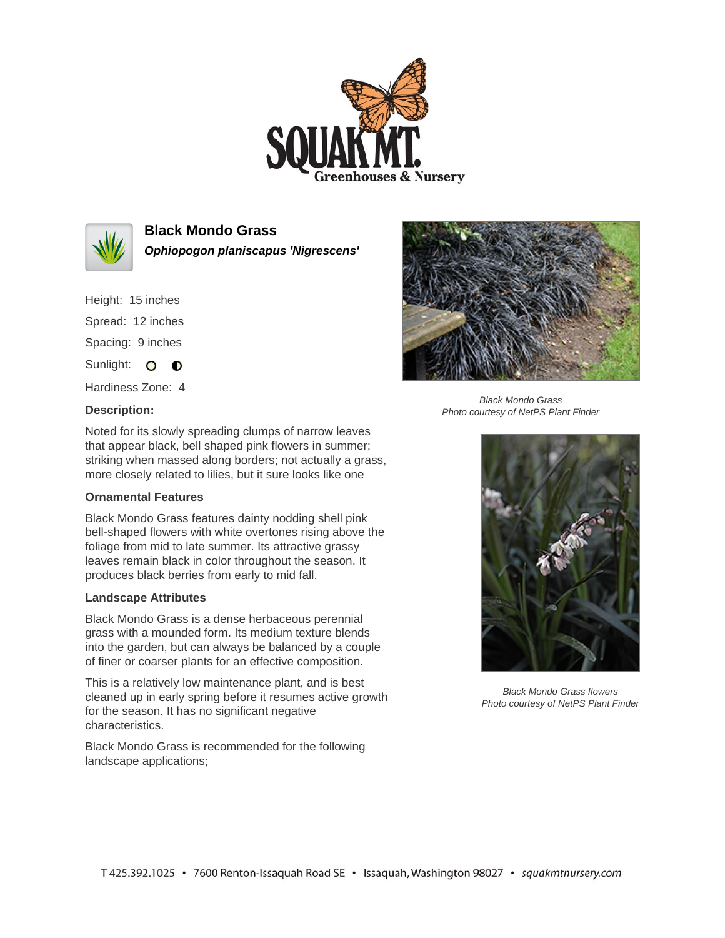



**Black Mondo Grass**

**Ophiopogon planiscapus 'Nigrescens'**

Height: 15 inches Spread: 12 inches Spacing: 9 inches Sunlight: O **O** 

Hardiness Zone: 4

## **Description:**



Black Mondo Grass Photo courtesy of NetPS Plant Finder

Noted for its slowly spreading clumps of narrow leaves that appear black, bell shaped pink flowers in summer; striking when massed along borders; not actually a grass, more closely related to lilies, but it sure looks like one

## **Ornamental Features**

Black Mondo Grass features dainty nodding shell pink bell-shaped flowers with white overtones rising above the foliage from mid to late summer. Its attractive grassy leaves remain black in color throughout the season. It produces black berries from early to mid fall.

## **Landscape Attributes**

Black Mondo Grass is a dense herbaceous perennial grass with a mounded form. Its medium texture blends into the garden, but can always be balanced by a couple of finer or coarser plants for an effective composition.

This is a relatively low maintenance plant, and is best cleaned up in early spring before it resumes active growth for the season. It has no significant negative characteristics.

Black Mondo Grass is recommended for the following landscape applications;



Black Mondo Grass flowers Photo courtesy of NetPS Plant Finder